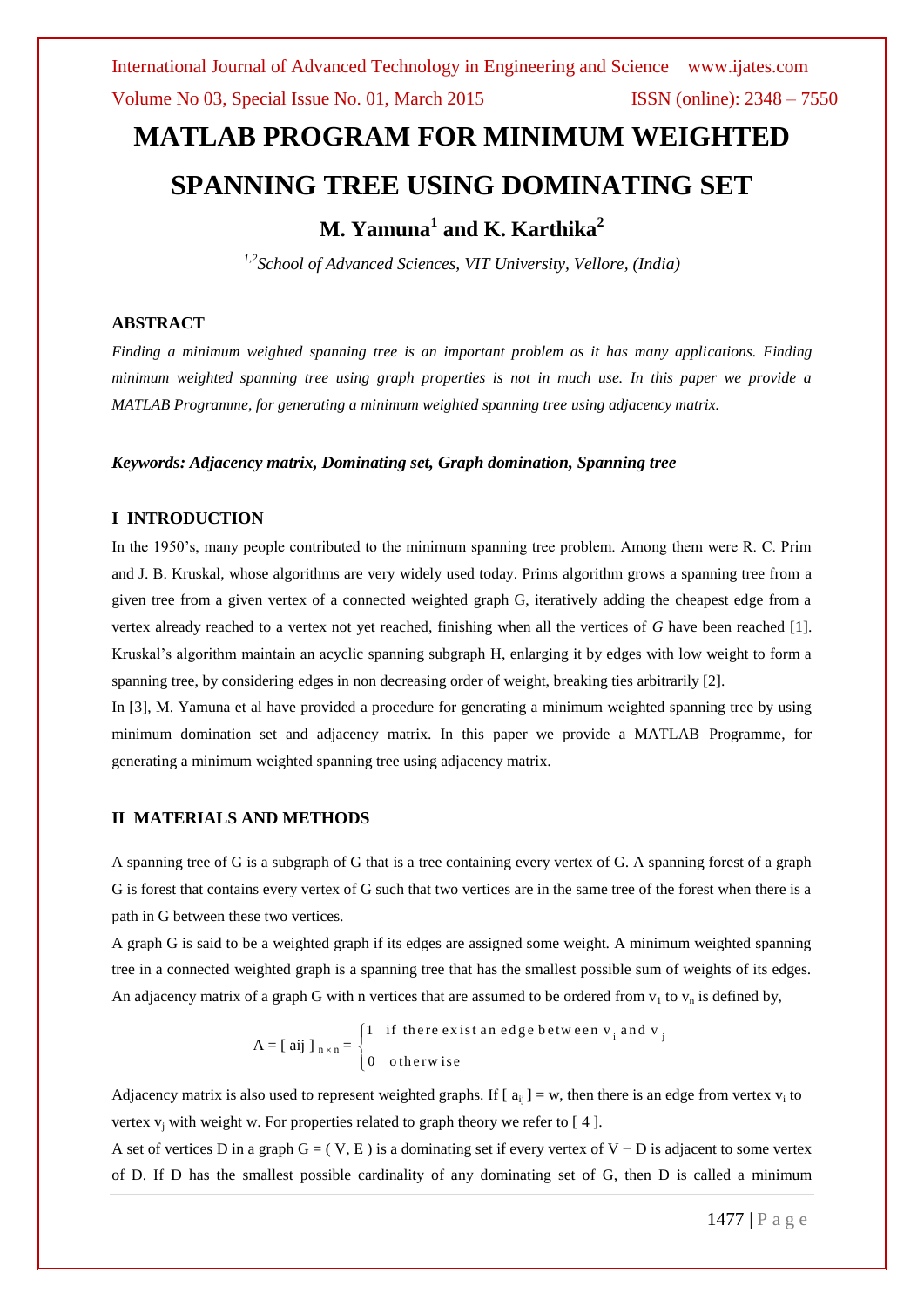# **MATLAB PROGRAM FOR MINIMUM WEIGHTED SPANNING TREE USING DOMINATING SET**

## **M. Yamuna<sup>1</sup> and K. Karthika<sup>2</sup>**

*1,2School of Advanced Sciences, VIT University, Vellore, (India)*

#### **ABSTRACT**

*Finding a minimum weighted spanning tree is an important problem as it has many applications. Finding minimum weighted spanning tree using graph properties is not in much use. In this paper we provide a MATLAB Programme, for generating a minimum weighted spanning tree using adjacency matrix.*

#### *Keywords: Adjacency matrix, Dominating set, Graph domination, Spanning tree*

#### **I INTRODUCTION**

In the 1950's, many people contributed to the minimum spanning tree problem. Among them were R. C. Prim and J. B. Kruskal, whose algorithms are very widely used today. Prims algorithm grows a spanning tree from a given tree from a given vertex of a connected weighted graph G, iteratively adding the cheapest edge from a vertex already reached to a vertex not yet reached, finishing when all the vertices of *G* have been reached [1]. Kruskal's algorithm maintain an acyclic spanning subgraph H, enlarging it by edges with low weight to form a spanning tree, by considering edges in non decreasing order of weight, breaking ties arbitrarily [2].

In [3], M. Yamuna et al have provided a procedure for generating a minimum weighted spanning tree by using minimum domination set and adjacency matrix. In this paper we provide a MATLAB Programme, for generating a minimum weighted spanning tree using adjacency matrix.

#### **II MATERIALS AND METHODS**

A spanning tree of G is a subgraph of G that is a tree containing every vertex of G. A spanning forest of a graph G is forest that contains every vertex of G such that two vertices are in the same tree of the forest when there is a path in G between these two vertices.

A graph G is said to be a weighted graph if its edges are assigned some weight. A minimum weighted spanning tree in a connected weighted graph is a spanning tree that has the smallest possible sum of weights of its edges. An adjacency matrix of a graph G with n vertices that are assumed to be ordered from  $v_1$  to  $v_n$  is defined by,

$$
A = [\text{aij }]_{n \times n} = \begin{cases} 1 & \text{if there exist an edge between } v_i \text{ and } v_j \\ 0 & \text{otherwise} \end{cases}
$$

Adjacency matrix is also used to represent weighted graphs. If  $[a_{ij}] = w$ , then there is an edge from vertex  $v_i$  to vertex  $v_i$  with weight w. For properties related to graph theory we refer to [4].

A set of vertices D in a graph  $G = (V, E)$  is a dominating set if every vertex of V − D is adjacent to some vertex of D. If D has the smallest possible cardinality of any dominating set of G, then D is called a minimum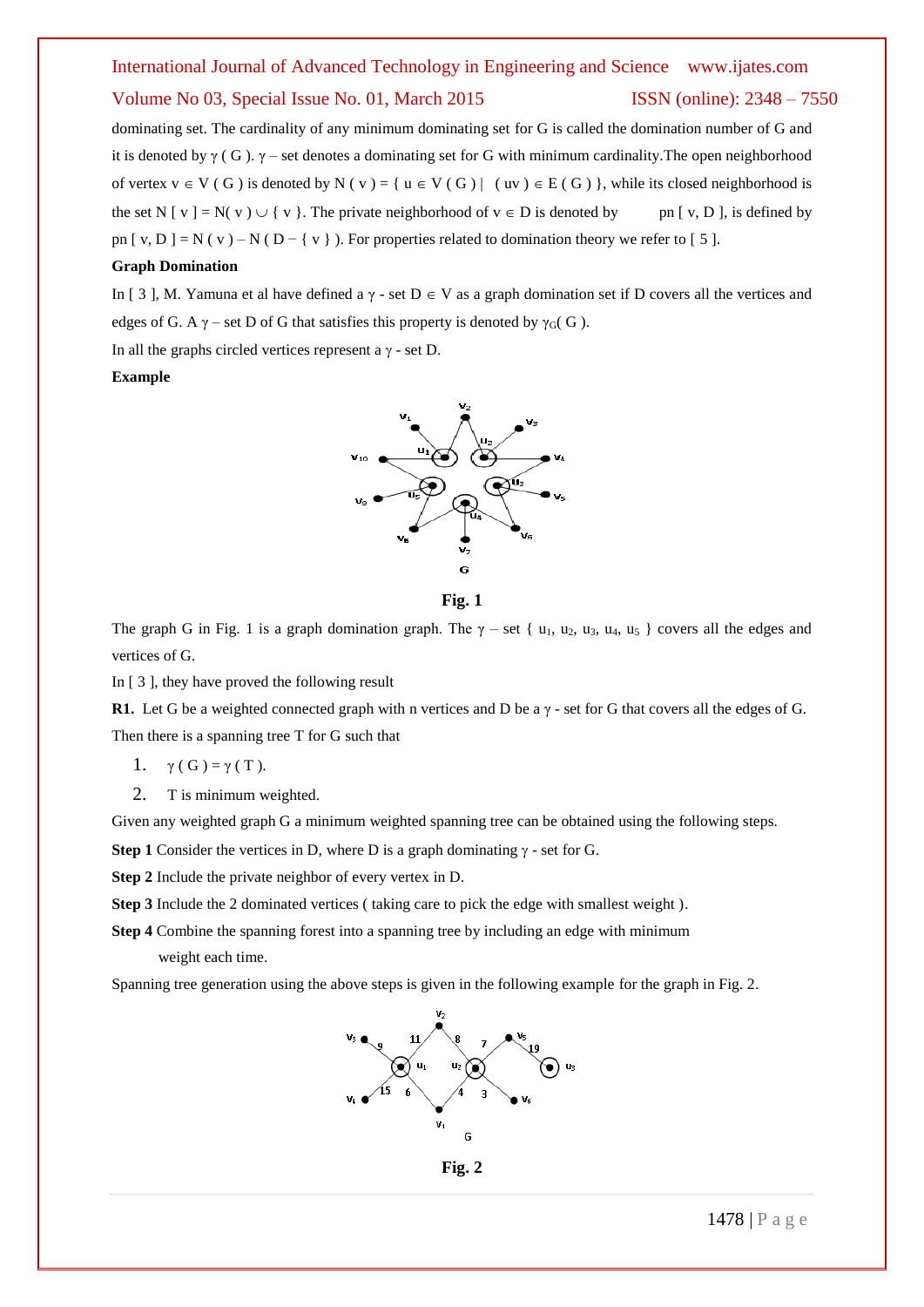dominating set. The cardinality of any minimum dominating set for G is called the domination number of G and it is denoted by  $\gamma$  (G).  $\gamma$  – set denotes a dominating set for G with minimum cardinality. The open neighborhood of vertex  $v \in V(G)$  is denoted by N (v) = {  $u \in V(G)$  | (uv)  $\in E(G)$ }, while its closed neighborhood is the set N  $[v] = N(v) \cup \{v\}$ . The private neighborhood of  $v \in D$  is denoted by pn  $[v, D]$ , is defined by pn  $[y, D] = N(y) - N(D - \{y\})$ . For properties related to domination theory we refer to [5].

#### **Graph Domination**

In [ 3 ], M. Yamuna et al have defined a  $\gamma$  - set  $D \in V$  as a graph domination set if D covers all the vertices and edges of G. A  $\gamma$  – set D of G that satisfies this property is denoted by  $\gamma_G$  (G).

In all the graphs circled vertices represent a  $\gamma$  - set D.

#### **Example**





The graph G in Fig. 1 is a graph domination graph. The  $\gamma$  – set { u<sub>1</sub>, u<sub>2</sub>, u<sub>3</sub>, u<sub>4</sub>, u<sub>5</sub> } covers all the edges and vertices of G.

In [ 3 ], they have proved the following result

**R1.** Let G be a weighted connected graph with n vertices and D be a γ - set for G that covers all the edges of G. Then there is a spanning tree T for G such that

1.  $\gamma(G) = \gamma(T)$ .

2. T is minimum weighted.

Given any weighted graph G a minimum weighted spanning tree can be obtained using the following steps.

**Step 1** Consider the vertices in D, where D is a graph dominating  $\gamma$  - set for G.

**Step 2** Include the private neighbor of every vertex in D.

**Step 3** Include the 2 dominated vertices ( taking care to pick the edge with smallest weight ).

**Step 4** Combine the spanning forest into a spanning tree by including an edge with minimum weight each time.

Spanning tree generation using the above steps is given in the following example for the graph in Fig. 2.



**Fig. 2**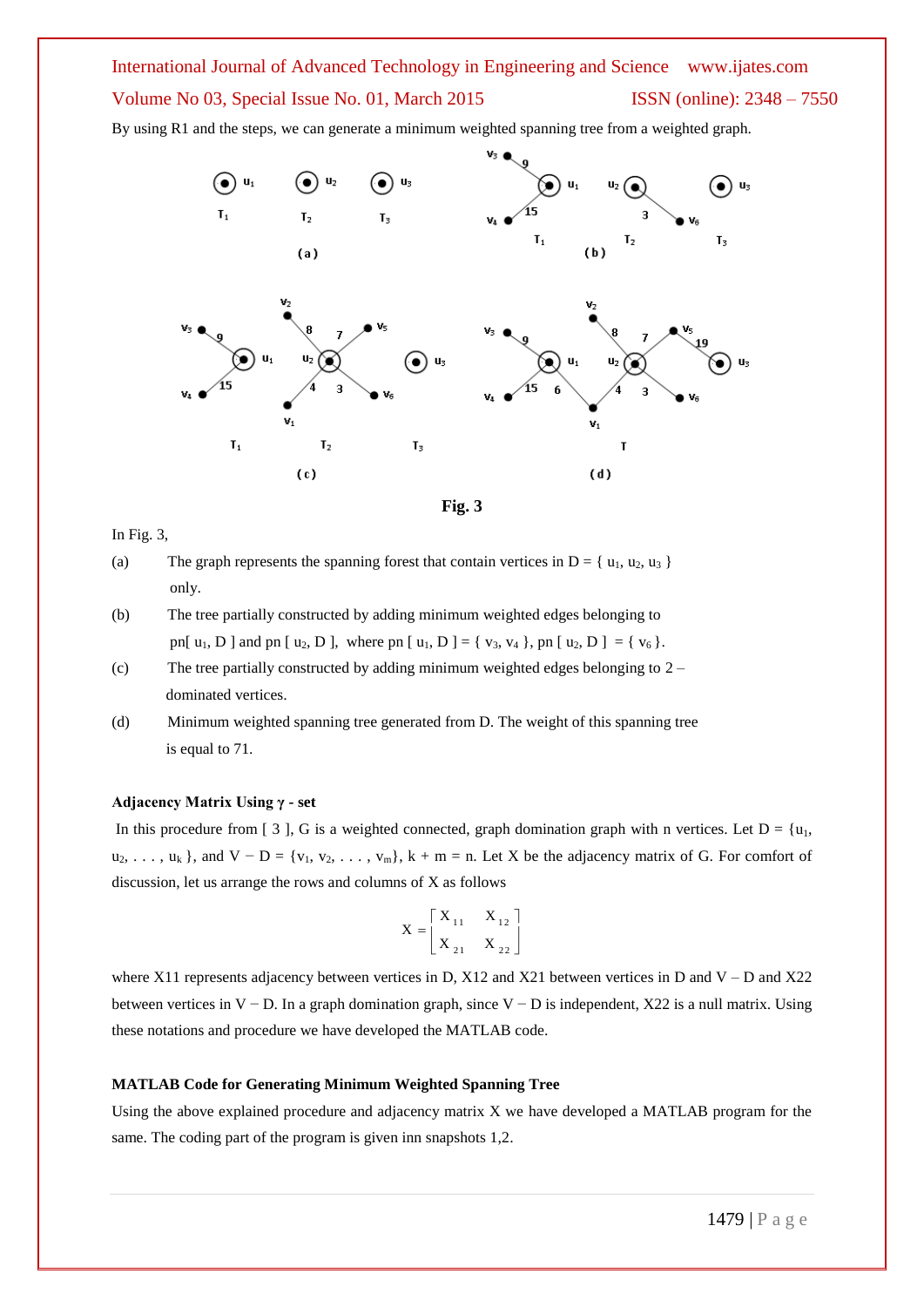By using R1 and the steps, we can generate a minimum weighted spanning tree from a weighted graph.





#### In Fig. 3,

- (a) The graph represents the spanning forest that contain vertices in  $D = \{u_1, u_2, u_3\}$ only.
- (b) The tree partially constructed by adding minimum weighted edges belonging to pn[  $u_1$ , D ] and pn [  $u_2$ , D ], where pn [  $u_1$ , D ] = {  $v_3$ ,  $v_4$  }, pn [  $u_2$ , D ] = {  $v_6$  }.
- (c) The tree partially constructed by adding minimum weighted edges belonging to 2 dominated vertices.
- (d) Minimum weighted spanning tree generated from D. The weight of this spanning tree is equal to 71.

#### **Adjacency Matrix Using γ - set**

In this procedure from [ 3 ], G is a weighted connected, graph domination graph with n vertices. Let  $D = \{u_1,$  $u_2, \ldots, u_k$ , and  $V - D = \{v_1, v_2, \ldots, v_m\}$ ,  $k + m = n$ . Let X be the adjacency matrix of G. For comfort of discussion, let us arrange the rows and columns of X as follows

$$
\mathbf{X} = \begin{bmatrix} \mathbf{X}_{11} & \mathbf{X}_{12} \\ \mathbf{X}_{21} & \mathbf{X}_{22} \end{bmatrix}
$$

where X11 represents adjacency between vertices in D, X12 and X21 between vertices in D and V – D and X22 between vertices in V − D. In a graph domination graph, since V − D is independent, X22 is a null matrix. Using these notations and procedure we have developed the MATLAB code.

#### **MATLAB Code for Generating Minimum Weighted Spanning Tree**

Using the above explained procedure and adjacency matrix X we have developed a MATLAB program for the same. The coding part of the program is given inn snapshots 1,2.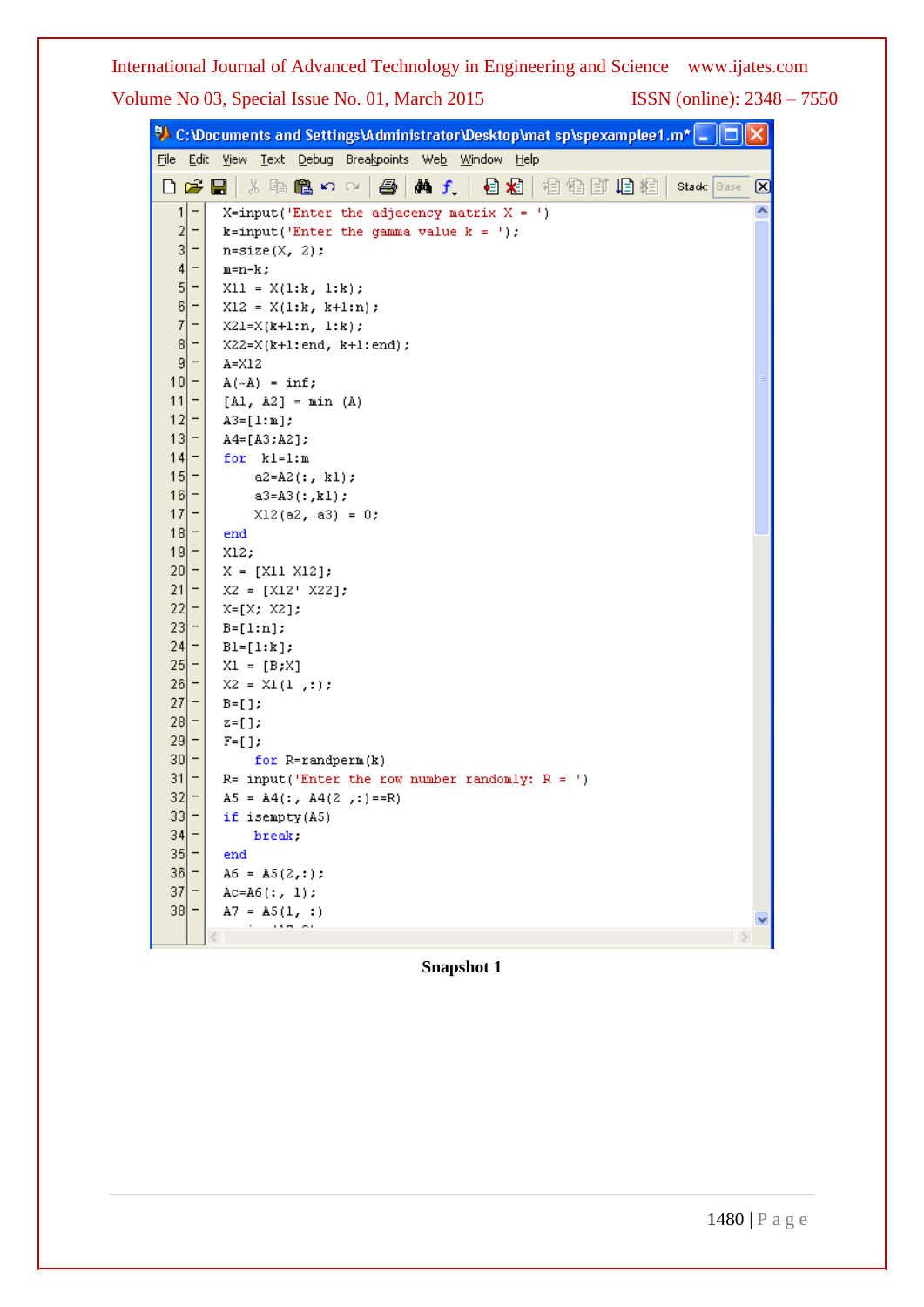|                 |                          | $\mathbb R$ C:\Documents and Settings\Administrator\Desktop\mat sp\spexamplee1.m* $\Box$ |
|-----------------|--------------------------|------------------------------------------------------------------------------------------|
|                 |                          | File Edit View Text Debug Breakpoints Web Window Help                                    |
|                 |                          | A f   目右   看看   直角   相相   stack   Base  <br>$D \ncong H$<br>る亀亀の○<br>- 145<br>⊠          |
| $\vert$         | $\qquad \qquad -$        | ᄾ<br>$X=$ input('Enter the adjacency matrix $X = '$ )                                    |
| $\overline{c}$  | -                        | $k = input('Enter the gamma value k = ');$                                               |
| 3               | <b>—</b>                 | $n = size(X, 2)$ ;                                                                       |
| 4               | -                        | $m=n-k$ ;                                                                                |
| 5               | -                        | $X11 = X(1:k, 1:k);$                                                                     |
| 6               | -                        | $X12 = X(1:k, k+1:n);$                                                                   |
| 7               | -                        | $X21=X(k+1:n, 1:k);$                                                                     |
| 8               | <b>-</b>                 | $X22=X(k+1:end, k+1:end);$                                                               |
| 9               | <b>—</b>                 | A=X12                                                                                    |
| 10              | -                        | $A(\sim A)$ = inf;                                                                       |
| 11              |                          | $[A1, A2] = min (A)$                                                                     |
| 12              | -                        | $A3 = [1:m];$                                                                            |
| 13              | <b>-</b>                 | A4=[A3;A2];                                                                              |
| 14              | -                        | for kl=1:m                                                                               |
| 15              | -                        | $a2 = A2$ (:, kl);                                                                       |
| 16              | -                        | $a3 = A3(:, k1);$                                                                        |
| 17              | -                        | $X12(a2, a3) = 0;$                                                                       |
|                 | $18 -$                   | end                                                                                      |
|                 | $19 -$                   | X12,                                                                                     |
| 20 <sub>l</sub> | -                        | $X = [X11 X12];$                                                                         |
| 21              |                          | $X2 = [X12' X22];$                                                                       |
| 22              | -                        | $X=[X; X2];$                                                                             |
| 23              | -                        | $B=[1:n];$                                                                               |
| 24              | -                        | $BI=[1:k];$                                                                              |
| 25              | -                        | $XI = [B;X]$                                                                             |
| 26              |                          | $X2 = X1(1, :);$                                                                         |
| 27              | -                        | $B = []$                                                                                 |
| 28              | -                        | $z=[1;$                                                                                  |
| 29              |                          | $F=[1;$                                                                                  |
| 30              |                          | for $R = random(n)$                                                                      |
| 31              |                          | R= input('Enter the row number randomly: $R =$ ')                                        |
| 32              | -                        | $A5 = A4$ (:, $A4(2$ , :)==R)                                                            |
| 33              | Ξ                        | if isempty(A5)                                                                           |
| 34              | -                        | break.                                                                                   |
| 35              | $\overline{\phantom{0}}$ | end                                                                                      |
| 36              |                          | $A6 = A5(2, :);$                                                                         |
| 37              |                          | $Ac=AG(:, 1);$                                                                           |
| 38              |                          | $A7 = A5(1, :)$                                                                          |
|                 |                          |                                                                                          |

**Snapshot 1**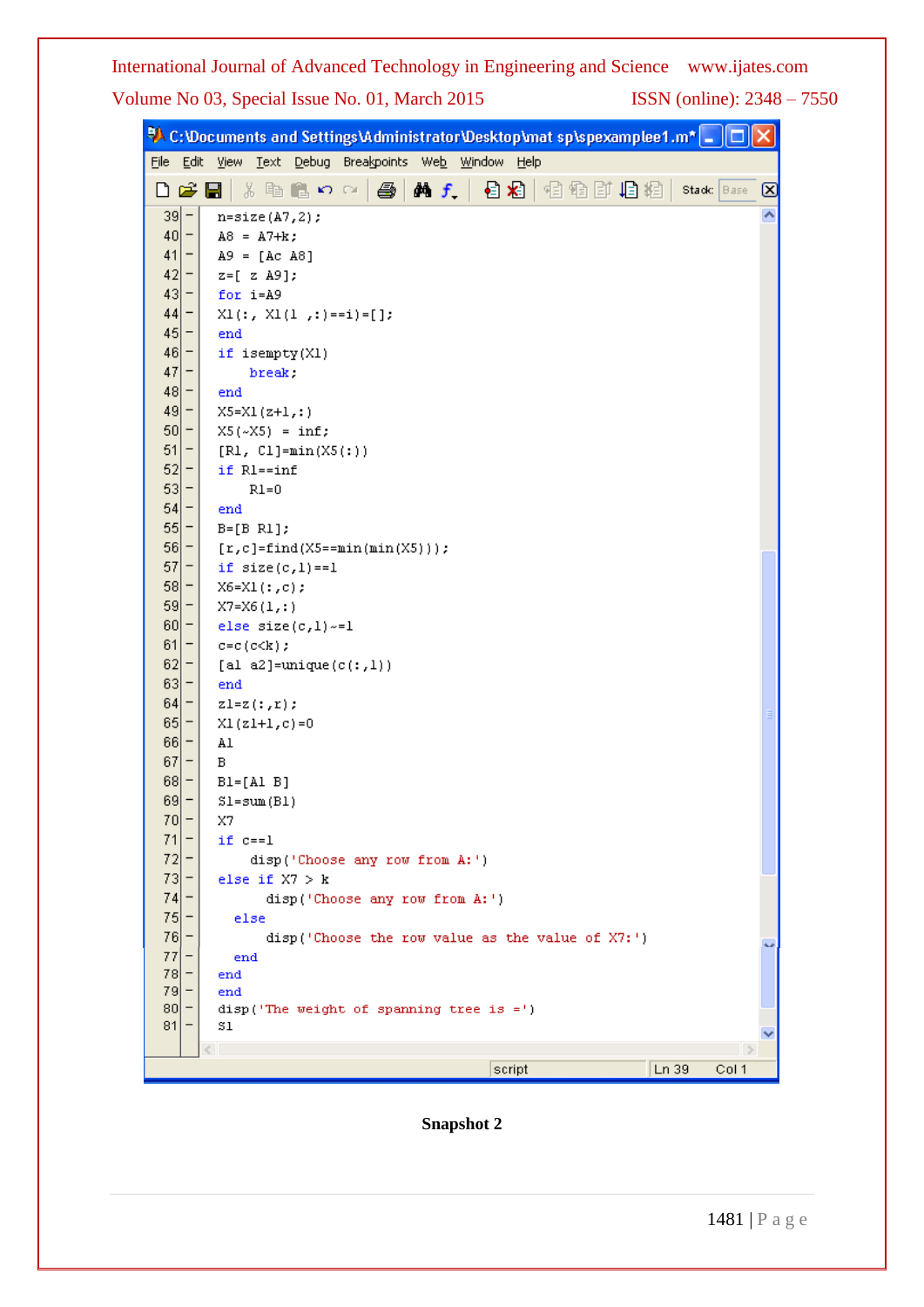|                 |                          | $\mathsf{P}\!\!\!\!\lambda$ C:\Documents and Settings\Administrator\Desktop\mat sp\spexamplee1.m* $\Box$ $\Box$ |   |
|-----------------|--------------------------|-----------------------------------------------------------------------------------------------------------------|---|
| Eile            | Edit                     | Text Debug Breakpoints Web Window<br><b>View</b><br>Help                                                        |   |
| D               |                          | 确 f<br>¢ l<br>Y,<br>目相<br>相看耳<br>坦粗<br>脂腐めの<br>a<br>Stadc Base                                                  | ☑ |
| $39 -$          |                          | $n = size(A7, 2);$                                                                                              |   |
| $40 -$          |                          | $A8 = A7 + k$ ;                                                                                                 |   |
| 41              | -                        | $A9 = [Ac A8]$                                                                                                  |   |
| 42              |                          | $z = [z A9];$                                                                                                   |   |
| 43              | -                        | for i=A9                                                                                                        |   |
| 44              | -                        | $X1$ (:, $X1(1, :)=i=[1;$                                                                                       |   |
| 45              | -                        | end                                                                                                             |   |
| $46 -$          |                          | if isempty(X1)                                                                                                  |   |
| 47              | $\overline{\phantom{0}}$ | break.                                                                                                          |   |
| $ 48 $ –        |                          | end                                                                                                             |   |
| $49 -$          |                          | $X5 = X1 (z+1, : )$                                                                                             |   |
| 50              |                          | $X5(\sim X5) = inf;$                                                                                            |   |
| 51              | -                        | $[R1, C1] = min(X5(:))$                                                                                         |   |
| 52              | -                        | if Rl==inf                                                                                                      |   |
| 53              |                          | $R1=0$                                                                                                          |   |
| 54              | <b>-</b>                 | end                                                                                                             |   |
| 55              | -                        | $B=[B R1];$                                                                                                     |   |
| 56              | $\overline{\phantom{0}}$ | $[r,c]=find(X5=-min(min(X5)))$ ;                                                                                |   |
| 57              | $\qquad \qquad -$        | if $size(c,1) == 1$                                                                                             |   |
| 58              | $\overline{\phantom{0}}$ | $X6 = X1(:,c);$                                                                                                 |   |
| $59 -$          |                          | $X7 = X6(1, : )$                                                                                                |   |
| 60              | $\overline{\phantom{0}}$ | else size $(c,1) \sim = 1$                                                                                      |   |
| 61              |                          | $c=c$ ( $c<$ k) ;                                                                                               |   |
| 62              |                          | [al a2]=unique( $c$ (:,1))                                                                                      |   |
| 63<br>64        | $\overline{a}$           | end                                                                                                             |   |
| 65              | Ξ<br>Ξ                   | $z1 = z(:,r);$                                                                                                  |   |
| $66 -$          |                          | $XI(z1+1,c)=0$<br>Al                                                                                            |   |
| 67              | -                        | в                                                                                                               |   |
| $68 -$          |                          | $BI=[A1 B]$                                                                                                     |   |
| $69 -$          |                          | $S1 = sum(B1)$                                                                                                  |   |
| $70 -$          |                          | X7                                                                                                              |   |
| 71              |                          | $if c==1$                                                                                                       |   |
| 72              |                          | disp('Choose any row from A:')                                                                                  |   |
| 73              |                          | else if $X7 > k$                                                                                                |   |
| 74              |                          | disp('Choose any row from A:')                                                                                  |   |
| 75              |                          | else                                                                                                            |   |
| 76              |                          | disp('Choose the row value as the value of X7:')                                                                |   |
| 77              |                          | end                                                                                                             |   |
| $ 78  -$        |                          | end                                                                                                             |   |
| 79              |                          | end                                                                                                             |   |
| 80 <sup>1</sup> |                          | $disp('The weight of spanning tree is =')$                                                                      |   |
| 81              |                          | Sl                                                                                                              |   |
|                 |                          |                                                                                                                 |   |
|                 |                          | Ln 39<br>script<br>Col 1                                                                                        |   |

**Snapshot 2**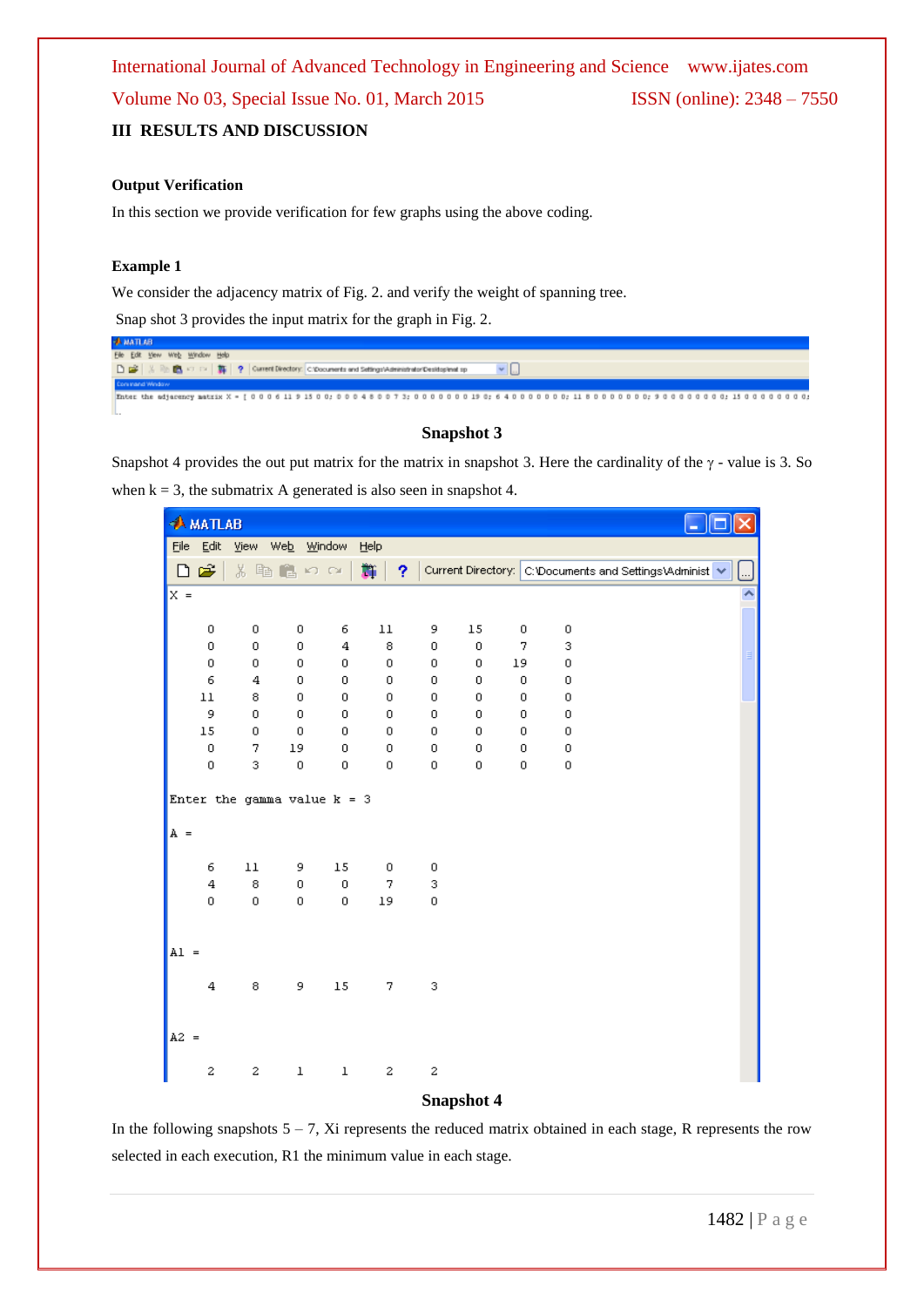#### **Output Verification**

In this section we provide verification for few graphs using the above coding.

#### **Example 1**

We consider the adjacency matrix of Fig. 2. and verify the weight of spanning tree.

Snap shot 3 provides the input matrix for the graph in Fig. 2.

| <b>BATTAN</b>                                                                                                        |  |
|----------------------------------------------------------------------------------------------------------------------|--|
| File Edit View Web Window Help                                                                                       |  |
| □ 當   %   ® ■ <> <>   第   ?   Current Directory:   C'Occurrents and SettingsVAdministrator Desittsplanet sp          |  |
| <b>Concreted Window</b>                                                                                              |  |
| Enter the adjacency matrix X = [00061191500; 000480073; 00000000190; 640000000; 118000000; 9000000; 1500000; 1500000 |  |

#### **Snapshot 3**

Snapshot 4 provides the out put matrix for the matrix in snapshot 3. Here the cardinality of the  $\gamma$  - value is 3. So when  $k = 3$ , the submatrix A generated is also seen in snapshot 4.

|        | <b>AMATLAB</b>          |          |                               |                  |                |         |        |        |                  |                                                         |  |
|--------|-------------------------|----------|-------------------------------|------------------|----------------|---------|--------|--------|------------------|---------------------------------------------------------|--|
| Eile   | Edit                    | View Web |                               | Window           | Help           |         |        |        |                  |                                                         |  |
| D      | Ê                       | ¥.       | 电自めの                          |                  | 斷<br>Ŷ.        |         |        |        |                  | Current Directory: C:\Documents and Settings\Administ ↓ |  |
| $x =$  |                         |          |                               |                  |                |         |        |        |                  |                                                         |  |
|        |                         |          |                               |                  |                |         |        |        |                  |                                                         |  |
|        | 0                       | 0        | 0                             | 6                | $11\,$         | 9       | 15     | 0      | 0                |                                                         |  |
|        | 0                       | 0        | 0                             | 4                | 8              | 0       | 0      | 7      | 3                |                                                         |  |
|        | $\,0$                   | 0        | $\mathbf 0$                   | $\mathbf 0$      | $\circ$        | 0       | 0      | 19     | 0                |                                                         |  |
|        | 6                       | 4        | 0                             | 0                | $\overline{0}$ | 0       | 0      | 0      | 0                |                                                         |  |
|        | $11\,$                  | 8        | 0                             | 0                | 0              | 0       | 0      | 0      | 0                |                                                         |  |
|        | 9                       | 0        | 0                             | 0                | $\mathbf 0$    | $\circ$ | 0      | 0      | 0                |                                                         |  |
|        | $15\,$                  | 0        | 0                             | 0                | 0              | 0       | 0      | 0      | 0                |                                                         |  |
|        | $\,0\,$<br>0            | 7<br>3   | 19<br>$\boldsymbol{0}$        | 0<br>$\mathbf 0$ | 0              | 0<br>0  | 0<br>0 | 0<br>0 | $\mathbf 0$<br>0 |                                                         |  |
|        |                         |          |                               |                  | 0              |         |        |        |                  |                                                         |  |
|        |                         |          | Enter the gamma value $k = 3$ |                  |                |         |        |        |                  |                                                         |  |
| $A =$  |                         |          |                               |                  |                |         |        |        |                  |                                                         |  |
|        | 6                       | $11\,$   | 9                             | 15               | 0              | 0       |        |        |                  |                                                         |  |
|        | $\overline{\mathbf{4}}$ | 8        | 0                             | $\mathbf 0$      | 7              | 3       |        |        |                  |                                                         |  |
|        | $\mathbf 0$             | 0        | $\boldsymbol{0}$              | 0                | 19             | 0       |        |        |                  |                                                         |  |
|        |                         |          |                               |                  |                |         |        |        |                  |                                                         |  |
|        |                         |          |                               |                  |                |         |        |        |                  |                                                         |  |
| $AI =$ |                         |          |                               |                  |                |         |        |        |                  |                                                         |  |
|        |                         |          |                               |                  |                |         |        |        |                  |                                                         |  |
|        | $\bf{4}$                | 8        | 9                             | $15\,$           | 7              | 3       |        |        |                  |                                                         |  |
|        |                         |          |                               |                  |                |         |        |        |                  |                                                         |  |
|        |                         |          |                               |                  |                |         |        |        |                  |                                                         |  |
| $A2 =$ |                         |          |                               |                  |                |         |        |        |                  |                                                         |  |
|        | 2                       | 2        | $\mathbf 1$                   | $\mathbf 1$      | 2              | 2       |        |        |                  |                                                         |  |
|        |                         |          |                               |                  |                |         |        |        |                  |                                                         |  |

#### **Snapshot 4**

In the following snapshots  $5 - 7$ , Xi represents the reduced matrix obtained in each stage, R represents the row selected in each execution, R1 the minimum value in each stage.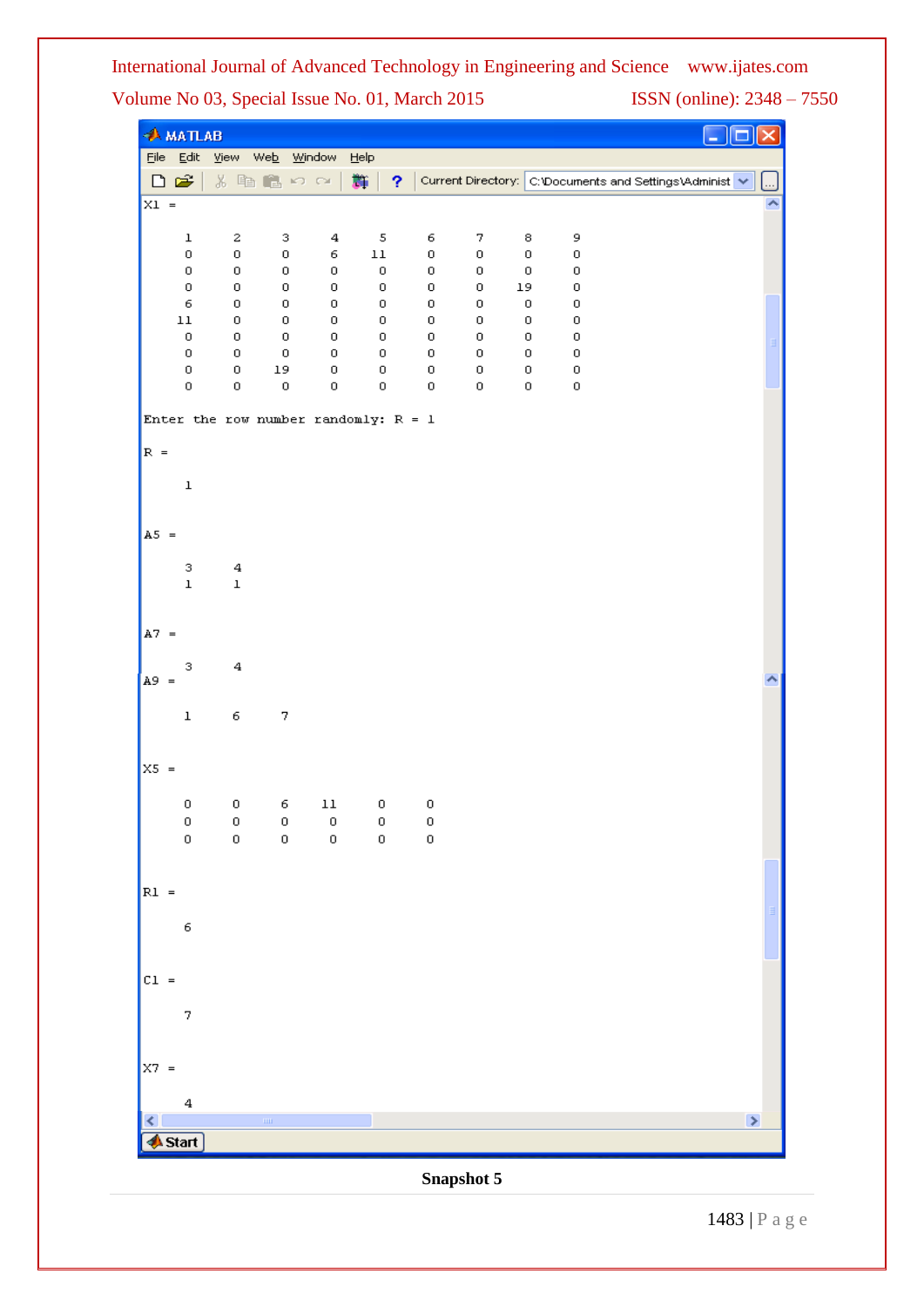|          | <b>AMATLAB</b>             |                         |                    |             |                                        |              |        |                      |                                                         |  |
|----------|----------------------------|-------------------------|--------------------|-------------|----------------------------------------|--------------|--------|----------------------|---------------------------------------------------------|--|
|          | $File Edit$                | View Web Window         |                    |             | Help                                   |              |        |                      |                                                         |  |
|          | □□                         |                         | るも色めな              |             | 豑<br>Ÿ.                                |              |        |                      | Current Directory: C:\Documents and Settings\Administ M |  |
| $X1 =$   |                            |                         |                    |             |                                        |              |        |                      |                                                         |  |
|          | $\mathbf 1$                | 2                       | з                  | $\bf{4}$    | $\sqrt{5}$                             | 6            | 7      | 8                    | 9                                                       |  |
|          | 0<br>$\mathbf 0$           | $\,0\,$<br>0            | $\,0\,$<br>$\,0\,$ | 6<br>0      | $11\,$<br>$\,0\,$                      | $\,0\,$<br>0 | 0<br>0 | $\mathbf 0$<br>$\,0$ | 0<br>0                                                  |  |
|          | $\mathbf 0$                | $\,0\,$                 | 0                  | 0           | $\,0$                                  | 0            | 0      | 19                   | 0                                                       |  |
|          | $\epsilon$<br>$11\,$       | 0<br>0                  | $\,0\,$<br>0       | 0<br>0      | 0<br>$\mathbf 0$                       | $\,0\,$<br>0 | 0<br>0 | 0<br>0               | 0<br>0                                                  |  |
|          | $\,0\,$                    | 0                       | 0                  | 0           | 0                                      | 0            | 0      | 0                    | 0                                                       |  |
|          | $\mathbf 0$<br>$\mathbf 0$ | 0<br>$\mathbf 0$        | $\,0\,$<br>19      | 0<br>0      | 0<br>0                                 | $\,0\,$<br>0 | 0<br>0 | 0<br>0               | 0<br>0                                                  |  |
|          | 0                          | 0                       | 0                  | 0           | 0                                      | $\mathbf 0$  | 0      | 0                    | 0                                                       |  |
|          |                            |                         |                    |             | Enter the row number randomly: $R = 1$ |              |        |                      |                                                         |  |
| $R =$    |                            |                         |                    |             |                                        |              |        |                      |                                                         |  |
|          | $\mathbf 1$                |                         |                    |             |                                        |              |        |                      |                                                         |  |
|          |                            |                         |                    |             |                                        |              |        |                      |                                                         |  |
| $A5 =$   |                            |                         |                    |             |                                        |              |        |                      |                                                         |  |
|          | 3                          | $\overline{\mathbf{4}}$ |                    |             |                                        |              |        |                      |                                                         |  |
|          | $\mathbf 1$                | $\mathbf 1$             |                    |             |                                        |              |        |                      |                                                         |  |
|          |                            |                         |                    |             |                                        |              |        |                      |                                                         |  |
| $A7 =$   |                            |                         |                    |             |                                        |              |        |                      |                                                         |  |
|          | 3                          | 4                       |                    |             |                                        |              |        |                      |                                                         |  |
| $A9 =$   |                            |                         |                    |             |                                        |              |        |                      |                                                         |  |
|          | $\mathbf 1$                | 6                       | 7                  |             |                                        |              |        |                      |                                                         |  |
|          |                            |                         |                    |             |                                        |              |        |                      |                                                         |  |
| $X5 =$   |                            |                         |                    |             |                                        |              |        |                      |                                                         |  |
|          | 0                          | $\,0\,$                 | 6                  | $11\,$      | $\,0\,$                                | $\,0$        |        |                      |                                                         |  |
|          | 0                          | $\boldsymbol{0}$        | $\boldsymbol{0}$   | $\,0\,$     | $\circ$                                | $\,0\,$      |        |                      |                                                         |  |
|          | $\mathbf 0$                | $\mathbf 0$             | $\mathbf 0$        | $\mathbf 0$ | $\mathbf 0$                            | $\mathbf 0$  |        |                      |                                                         |  |
|          |                            |                         |                    |             |                                        |              |        |                      |                                                         |  |
| $RI =$   |                            |                         |                    |             |                                        |              |        |                      |                                                         |  |
|          | 6                          |                         |                    |             |                                        |              |        |                      |                                                         |  |
|          |                            |                         |                    |             |                                        |              |        |                      |                                                         |  |
| $CL =$   |                            |                         |                    |             |                                        |              |        |                      |                                                         |  |
|          | 7                          |                         |                    |             |                                        |              |        |                      |                                                         |  |
|          |                            |                         |                    |             |                                        |              |        |                      |                                                         |  |
| $ X7  =$ |                            |                         |                    |             |                                        |              |        |                      |                                                         |  |
|          |                            |                         |                    |             |                                        |              |        |                      |                                                         |  |
|          | 4                          |                         | $\rm{mm}$          |             |                                        |              |        |                      | $\Rightarrow$                                           |  |
|          | <b>Start</b>               |                         |                    |             |                                        |              |        |                      |                                                         |  |
|          |                            |                         |                    |             |                                        |              |        |                      |                                                         |  |

**Snapshot 5**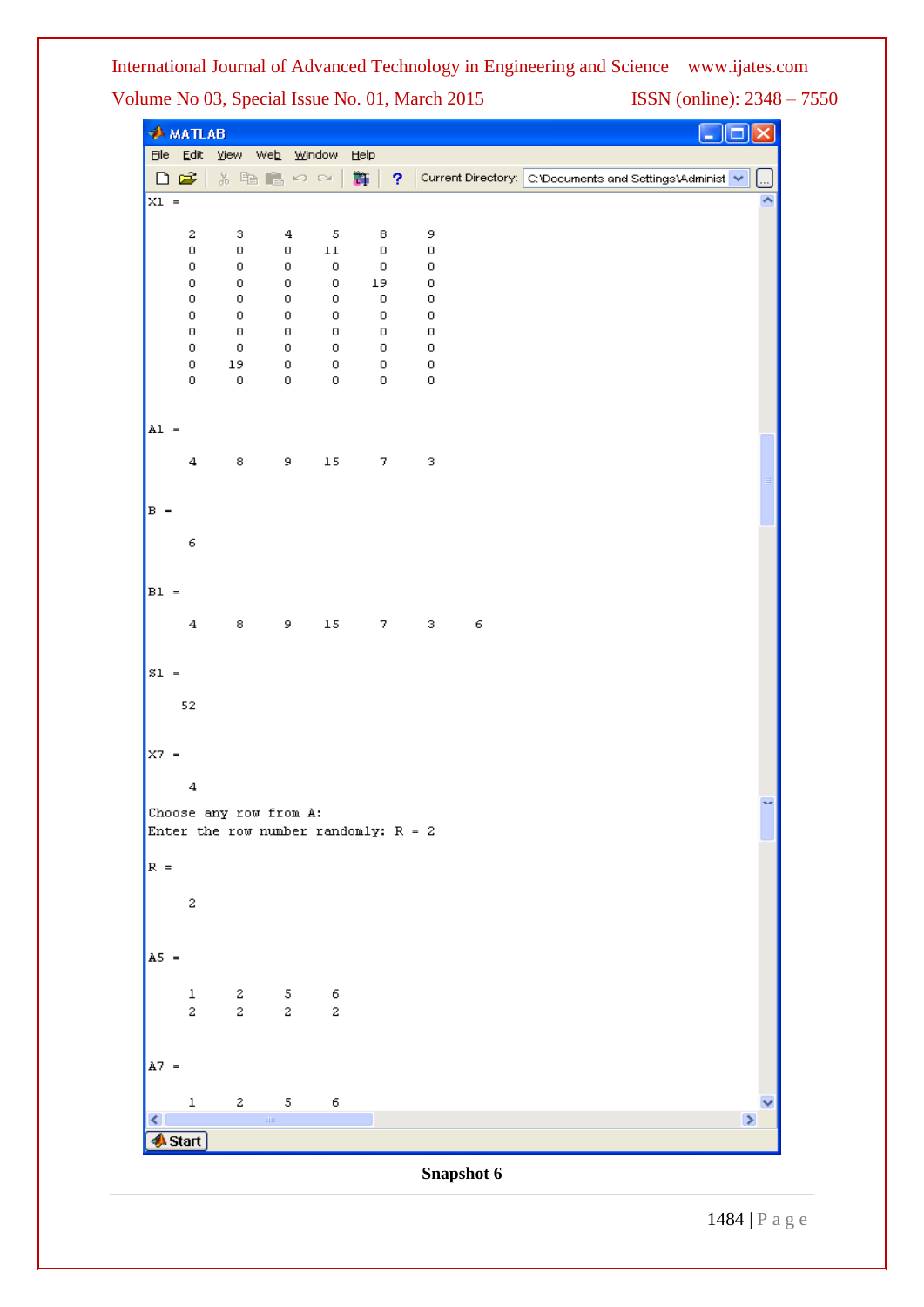|          | $A$ MATLAB              |                                                                                                                                                                                                                                                                                                                                                                                     |                                |                            |                                        |                  |            |                                                                  |
|----------|-------------------------|-------------------------------------------------------------------------------------------------------------------------------------------------------------------------------------------------------------------------------------------------------------------------------------------------------------------------------------------------------------------------------------|--------------------------------|----------------------------|----------------------------------------|------------------|------------|------------------------------------------------------------------|
|          |                         |                                                                                                                                                                                                                                                                                                                                                                                     | File Edit View Web Window Help |                            |                                        |                  |            |                                                                  |
| 口后       |                         |                                                                                                                                                                                                                                                                                                                                                                                     | るも良いの                          |                            | - 26  <br>?                            |                  |            | Current Directory: C:\Documents and Settings\Administ V  <br>تتا |
| $x_1 =$  |                         |                                                                                                                                                                                                                                                                                                                                                                                     |                                |                            |                                        |                  |            |                                                                  |
|          | 2                       | з                                                                                                                                                                                                                                                                                                                                                                                   | 4                              | 5                          | 8                                      | 9                |            |                                                                  |
|          | 0                       | 0                                                                                                                                                                                                                                                                                                                                                                                   | 0                              | $11\,$                     | 0                                      | $\,0$            |            |                                                                  |
|          | 0<br>0                  | 0<br>0                                                                                                                                                                                                                                                                                                                                                                              | 0<br>0                         | $\mathbf 0$<br>$\mathbf 0$ | $\,0$<br>19                            | $\,0$<br>$\,0\,$ |            |                                                                  |
|          | 0                       | $\,0\,$                                                                                                                                                                                                                                                                                                                                                                             | 0                              | 0                          | $\,0$                                  | $\,0$            |            |                                                                  |
|          | 0                       | 0                                                                                                                                                                                                                                                                                                                                                                                   | 0                              | 0                          | 0                                      | $\,0\,$          |            |                                                                  |
|          | 0<br>0                  | $\,0\,$<br>$\,0\,$                                                                                                                                                                                                                                                                                                                                                                  | 0<br>0                         | 0<br>$\,0\,$               | 0<br>0                                 | $\,0$<br>$\,0\,$ |            |                                                                  |
|          | 0                       | 19                                                                                                                                                                                                                                                                                                                                                                                  | 0                              | $\mathbf 0$                | 0                                      | $\,0\,$          |            |                                                                  |
|          | 0                       | 0                                                                                                                                                                                                                                                                                                                                                                                   | 0                              | 0                          | 0                                      | $\,0\,$          |            |                                                                  |
| $AL =$   |                         |                                                                                                                                                                                                                                                                                                                                                                                     |                                |                            |                                        |                  |            |                                                                  |
|          |                         |                                                                                                                                                                                                                                                                                                                                                                                     |                                |                            |                                        |                  |            |                                                                  |
|          | $\bf{4}$                | 8                                                                                                                                                                                                                                                                                                                                                                                   | 9                              | $15\,$                     | 7                                      | 3                |            |                                                                  |
| $B =$    |                         |                                                                                                                                                                                                                                                                                                                                                                                     |                                |                            |                                        |                  |            |                                                                  |
|          |                         |                                                                                                                                                                                                                                                                                                                                                                                     |                                |                            |                                        |                  |            |                                                                  |
|          | 6                       |                                                                                                                                                                                                                                                                                                                                                                                     |                                |                            |                                        |                  |            |                                                                  |
| $B1 =$   |                         |                                                                                                                                                                                                                                                                                                                                                                                     |                                |                            |                                        |                  |            |                                                                  |
|          | $\bf{4}$                | 8                                                                                                                                                                                                                                                                                                                                                                                   | 9                              |                            |                                        |                  |            |                                                                  |
|          |                         |                                                                                                                                                                                                                                                                                                                                                                                     |                                | $1\,5$                     | 7                                      | 3                | 6          |                                                                  |
| S1       |                         |                                                                                                                                                                                                                                                                                                                                                                                     |                                |                            |                                        |                  |            |                                                                  |
|          | 52                      |                                                                                                                                                                                                                                                                                                                                                                                     |                                |                            |                                        |                  |            |                                                                  |
|          |                         |                                                                                                                                                                                                                                                                                                                                                                                     |                                |                            |                                        |                  |            |                                                                  |
| $ X7  =$ |                         |                                                                                                                                                                                                                                                                                                                                                                                     |                                |                            |                                        |                  |            |                                                                  |
|          | 4                       |                                                                                                                                                                                                                                                                                                                                                                                     |                                |                            |                                        |                  |            |                                                                  |
|          |                         |                                                                                                                                                                                                                                                                                                                                                                                     | Choose any row from A:         |                            |                                        |                  |            |                                                                  |
|          |                         |                                                                                                                                                                                                                                                                                                                                                                                     |                                |                            | Enter the row number randomly: $R = 2$ |                  |            |                                                                  |
| $R =$    |                         |                                                                                                                                                                                                                                                                                                                                                                                     |                                |                            |                                        |                  |            |                                                                  |
|          |                         |                                                                                                                                                                                                                                                                                                                                                                                     |                                |                            |                                        |                  |            |                                                                  |
|          | 2                       |                                                                                                                                                                                                                                                                                                                                                                                     |                                |                            |                                        |                  |            |                                                                  |
|          |                         |                                                                                                                                                                                                                                                                                                                                                                                     |                                |                            |                                        |                  |            |                                                                  |
| $A5 =$   |                         |                                                                                                                                                                                                                                                                                                                                                                                     |                                |                            |                                        |                  |            |                                                                  |
|          | $\mathbf 1$             | $\boldsymbol{z}$                                                                                                                                                                                                                                                                                                                                                                    | $\mathbf S$                    | 6                          |                                        |                  |            |                                                                  |
|          | $\overline{\mathbf{c}}$ | $\mathbf{2}% ^{2}=\mathbf{2}^{2}+\mathbf{1}^{2}+\mathbf{1}^{2}+\mathbf{1}^{2}+\mathbf{1}^{2}+\mathbf{1}^{2}+\mathbf{1}^{2}+\mathbf{1}^{2}+\mathbf{1}^{2}+\mathbf{1}^{2}+\mathbf{1}^{2}+\mathbf{1}^{2}+\mathbf{1}^{2}+\mathbf{1}^{2}+\mathbf{1}^{2}+\mathbf{1}^{2}+\mathbf{1}^{2}+\mathbf{1}^{2}+\mathbf{1}^{2}+\mathbf{1}^{2}+\mathbf{1}^{2}+\mathbf{1}^{2}+\mathbf{1}^{2}+\mathbf$ | $\mathbf{z}$                   | $\boldsymbol{2}$           |                                        |                  |            |                                                                  |
| $A7 =$   |                         |                                                                                                                                                                                                                                                                                                                                                                                     |                                |                            |                                        |                  |            |                                                                  |
|          |                         |                                                                                                                                                                                                                                                                                                                                                                                     |                                |                            |                                        |                  |            |                                                                  |
| ≺        | $\mathbf 1$             | $\mathbf{2}% =\mathbf{1}_{B}\left( \mathbf{1}_{B}\right) ^{\ast}\mathbf{1}_{B}\left( \mathbf{1}_{B}\right)$                                                                                                                                                                                                                                                                         | 5<br>$\rm{m}$                  | 6                          |                                        |                  |            | $\rightarrow$                                                    |
|          | <mark>∯</mark> Start ]  |                                                                                                                                                                                                                                                                                                                                                                                     |                                |                            |                                        |                  |            |                                                                  |
|          |                         |                                                                                                                                                                                                                                                                                                                                                                                     |                                |                            |                                        |                  | Snapshot 6 |                                                                  |

1484 | P a g e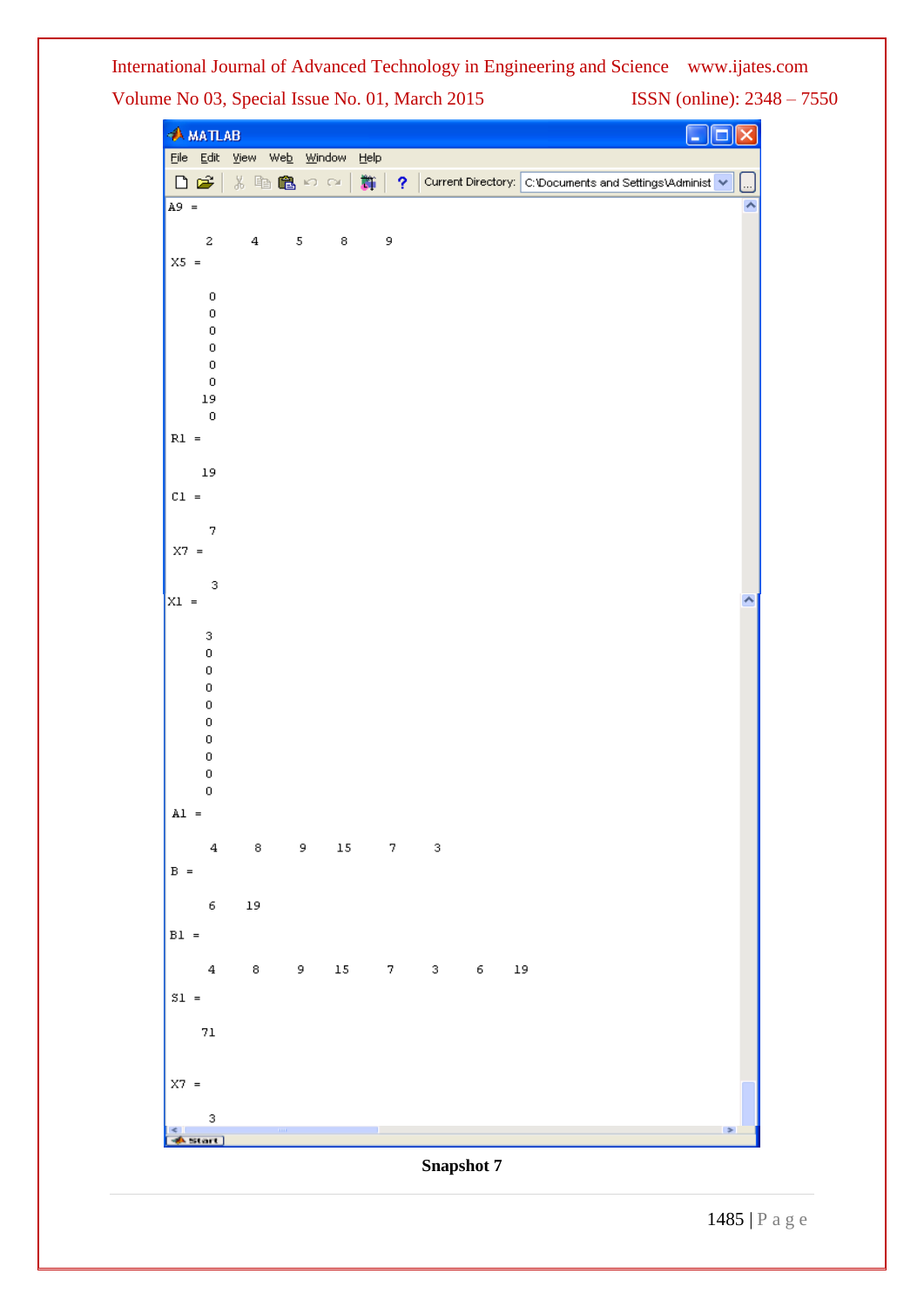|                 | $A$ MATLAB         |                                |            |        |                    |                       |       |             |  |                                                         |               |
|-----------------|--------------------|--------------------------------|------------|--------|--------------------|-----------------------|-------|-------------|--|---------------------------------------------------------|---------------|
|                 |                    | File Edit View Web Window Help |            |        |                    |                       |       |             |  |                                                         |               |
|                 | $\Box$ $\cong$     | る脂肪のの                          |            |        | - 第一               | $\gamma$              |       |             |  | Current Directory: C:\Documents and Settings\Administ v |               |
| $A9 =$          |                    |                                |            |        |                    |                       |       |             |  |                                                         |               |
|                 | 2                  | $\bf{4}$                       | $\sqrt{5}$ | 8      | 9                  |                       |       |             |  |                                                         |               |
| $X5 =$          |                    |                                |            |        |                    |                       |       |             |  |                                                         |               |
|                 |                    |                                |            |        |                    |                       |       |             |  |                                                         |               |
|                 | $\,0\,$<br>0       |                                |            |        |                    |                       |       |             |  |                                                         |               |
|                 | $\mathsf 0$        |                                |            |        |                    |                       |       |             |  |                                                         |               |
|                 | $\,0\,$            |                                |            |        |                    |                       |       |             |  |                                                         |               |
|                 | $\,0\,$<br>$\,0\,$ |                                |            |        |                    |                       |       |             |  |                                                         |               |
|                 | $_{\rm 19}$        |                                |            |        |                    |                       |       |             |  |                                                         |               |
|                 | $\,0\,$            |                                |            |        |                    |                       |       |             |  |                                                         |               |
| $R1 =$          |                    |                                |            |        |                    |                       |       |             |  |                                                         |               |
|                 | $_{\rm 19}$        |                                |            |        |                    |                       |       |             |  |                                                         |               |
| $CL =$          |                    |                                |            |        |                    |                       |       |             |  |                                                         |               |
|                 |                    |                                |            |        |                    |                       |       |             |  |                                                         |               |
|                 | 7                  |                                |            |        |                    |                       |       |             |  |                                                         |               |
| $X7 =$          |                    |                                |            |        |                    |                       |       |             |  |                                                         |               |
|                 | 3                  |                                |            |        |                    |                       |       |             |  |                                                         |               |
| $X1 =$          |                    |                                |            |        |                    |                       |       |             |  |                                                         |               |
|                 | 3                  |                                |            |        |                    |                       |       |             |  |                                                         |               |
|                 | 0                  |                                |            |        |                    |                       |       |             |  |                                                         |               |
|                 | 0<br>0             |                                |            |        |                    |                       |       |             |  |                                                         |               |
|                 | 0                  |                                |            |        |                    |                       |       |             |  |                                                         |               |
|                 | 0                  |                                |            |        |                    |                       |       |             |  |                                                         |               |
|                 | 0<br>0             |                                |            |        |                    |                       |       |             |  |                                                         |               |
|                 | 0                  |                                |            |        |                    |                       |       |             |  |                                                         |               |
|                 | 0                  |                                |            |        |                    |                       |       |             |  |                                                         |               |
| $AI =$          |                    |                                |            |        |                    |                       |       |             |  |                                                         |               |
|                 | $\bf{4}$           | $^{\rm 8}$                     | 9          |        | $15\qquad \quad 7$ | 3                     |       |             |  |                                                         |               |
| $B =$           |                    |                                |            |        |                    |                       |       |             |  |                                                         |               |
|                 |                    |                                |            |        |                    |                       |       |             |  |                                                         |               |
|                 | 6                  | $_{\rm 19}$                    |            |        |                    |                       |       |             |  |                                                         |               |
| $B1 =$          |                    |                                |            |        |                    |                       |       |             |  |                                                         |               |
|                 | $\bf{4}$           | $^{\rm 8}$                     | $9 - 1$    | $15\,$ |                    | $_{\rm 3}$<br>$7 - 1$ | $6 -$ | $_{\rm 19}$ |  |                                                         |               |
| $\mathbb{S}1$ = |                    |                                |            |        |                    |                       |       |             |  |                                                         |               |
|                 |                    |                                |            |        |                    |                       |       |             |  |                                                         |               |
|                 | $71\,$             |                                |            |        |                    |                       |       |             |  |                                                         |               |
|                 |                    |                                |            |        |                    |                       |       |             |  |                                                         |               |
| $X7 =$          |                    |                                |            |        |                    |                       |       |             |  |                                                         |               |
|                 |                    |                                |            |        |                    |                       |       |             |  |                                                         |               |
|                 | 3<br>start ]       | $\mathbf{m}$                   |            |        |                    |                       |       |             |  |                                                         | $\Rightarrow$ |
|                 |                    |                                |            |        |                    |                       |       |             |  |                                                         |               |

1485 | P a g e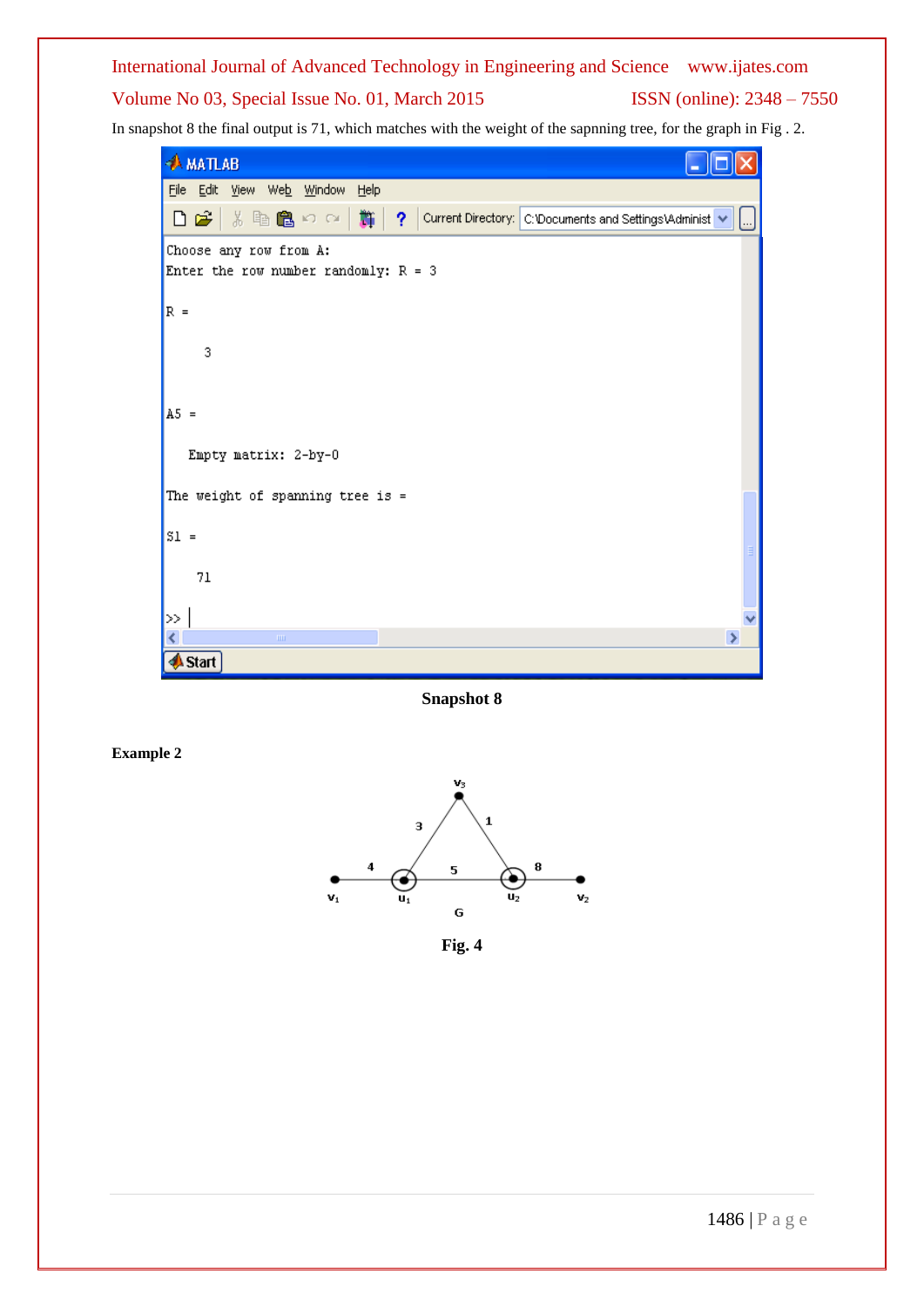In snapshot 8 the final output is 71, which matches with the weight of the sapnning tree, for the graph in Fig . 2.



**Snapshot 8**

**Example 2**



**Fig. 4**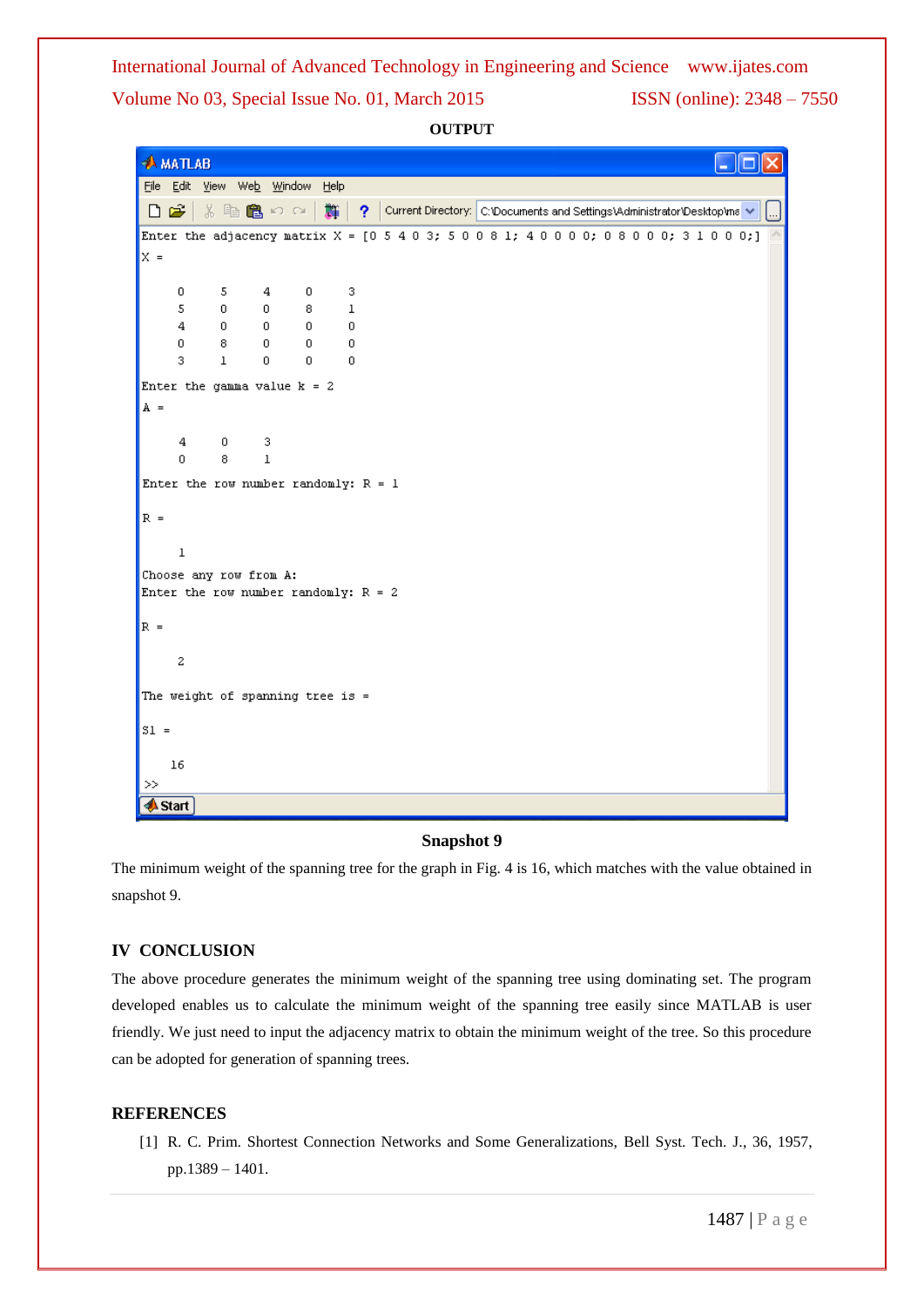**OUTPUT**

|        | <b>AMATLAB</b>         |                |              |              |                                                                                           |    |             |  |                                                                           |  |  |  |  |  |  |  |  |  |
|--------|------------------------|----------------|--------------|--------------|-------------------------------------------------------------------------------------------|----|-------------|--|---------------------------------------------------------------------------|--|--|--|--|--|--|--|--|--|
|        |                        |                |              |              | File Edit View Web Window Help                                                            |    |             |  |                                                                           |  |  |  |  |  |  |  |  |  |
|        | $D \ncong 1$           |                |              |              | ※ 脂 亀 の ○ │                                                                               | 斷上 |             |  | ? Current Directory: C:\Documents and Settings\Administrator\Desktop\ma V |  |  |  |  |  |  |  |  |  |
|        |                        |                |              |              | Enter the adjacency matrix $X = [0 5 4 0 3; 5 0 0 8 1; 4 0 0 0 0; 0 8 0 0 0; 3 1 0 0 0;]$ |    |             |  |                                                                           |  |  |  |  |  |  |  |  |  |
| $x =$  |                        |                |              |              |                                                                                           |    |             |  |                                                                           |  |  |  |  |  |  |  |  |  |
|        |                        |                | $5 -$        | 4            | $\overline{0}$                                                                            |    | з           |  |                                                                           |  |  |  |  |  |  |  |  |  |
|        | 0<br>5                 |                | 0            | $0^-$        | 8.                                                                                        |    | $\mathbf 1$ |  |                                                                           |  |  |  |  |  |  |  |  |  |
|        | $\overline{4}$         | $\overline{0}$ |              | $\mathbf{0}$ | 0                                                                                         |    | $\mathbf 0$ |  |                                                                           |  |  |  |  |  |  |  |  |  |
|        | $\mathbf{0}$           | 8              |              | 0            | 0                                                                                         |    | $\circ$     |  |                                                                           |  |  |  |  |  |  |  |  |  |
|        | 3                      | $\mathbf 1$    |              | 0            | $\overline{0}$                                                                            |    | $\mathbf 0$ |  |                                                                           |  |  |  |  |  |  |  |  |  |
|        |                        |                |              |              | Enter the gamma value $k = 2$                                                             |    |             |  |                                                                           |  |  |  |  |  |  |  |  |  |
| $A =$  |                        |                |              |              |                                                                                           |    |             |  |                                                                           |  |  |  |  |  |  |  |  |  |
|        |                        |                |              |              |                                                                                           |    |             |  |                                                                           |  |  |  |  |  |  |  |  |  |
|        | 4<br>0                 | 8.             | $0 \qquad 3$ | $\mathbf{1}$ |                                                                                           |    |             |  |                                                                           |  |  |  |  |  |  |  |  |  |
|        |                        |                |              |              |                                                                                           |    |             |  |                                                                           |  |  |  |  |  |  |  |  |  |
|        |                        |                |              |              | Enter the row number randomly: $R = 1$                                                    |    |             |  |                                                                           |  |  |  |  |  |  |  |  |  |
| $R =$  |                        |                |              |              |                                                                                           |    |             |  |                                                                           |  |  |  |  |  |  |  |  |  |
|        |                        |                |              |              |                                                                                           |    |             |  |                                                                           |  |  |  |  |  |  |  |  |  |
|        | ı                      |                |              |              |                                                                                           |    |             |  |                                                                           |  |  |  |  |  |  |  |  |  |
|        | Choose any row from A: |                |              |              |                                                                                           |    |             |  |                                                                           |  |  |  |  |  |  |  |  |  |
|        |                        |                |              |              | Enter the row number randomly: $R = 2$                                                    |    |             |  |                                                                           |  |  |  |  |  |  |  |  |  |
| $R =$  |                        |                |              |              |                                                                                           |    |             |  |                                                                           |  |  |  |  |  |  |  |  |  |
|        |                        |                |              |              |                                                                                           |    |             |  |                                                                           |  |  |  |  |  |  |  |  |  |
|        | $\mathbf{z}$           |                |              |              |                                                                                           |    |             |  |                                                                           |  |  |  |  |  |  |  |  |  |
|        |                        |                |              |              |                                                                                           |    |             |  |                                                                           |  |  |  |  |  |  |  |  |  |
|        |                        |                |              |              | The weight of spanning tree is =                                                          |    |             |  |                                                                           |  |  |  |  |  |  |  |  |  |
| $SI =$ |                        |                |              |              |                                                                                           |    |             |  |                                                                           |  |  |  |  |  |  |  |  |  |
|        |                        |                |              |              |                                                                                           |    |             |  |                                                                           |  |  |  |  |  |  |  |  |  |
|        | $16\,$                 |                |              |              |                                                                                           |    |             |  |                                                                           |  |  |  |  |  |  |  |  |  |
| >      |                        |                |              |              |                                                                                           |    |             |  |                                                                           |  |  |  |  |  |  |  |  |  |
|        | <b>A</b> Start         |                |              |              |                                                                                           |    |             |  |                                                                           |  |  |  |  |  |  |  |  |  |

#### **Snapshot 9**

The minimum weight of the spanning tree for the graph in Fig. 4 is 16, which matches with the value obtained in snapshot 9.

#### **IV CONCLUSION**

The above procedure generates the minimum weight of the spanning tree using dominating set. The program developed enables us to calculate the minimum weight of the spanning tree easily since MATLAB is user friendly. We just need to input the adjacency matrix to obtain the minimum weight of the tree. So this procedure can be adopted for generation of spanning trees.

#### **REFERENCES**

[1] R. C. Prim. Shortest Connection Networks and Some Generalizations, Bell Syst. Tech. J., 36, 1957, pp.1389 – 1401.